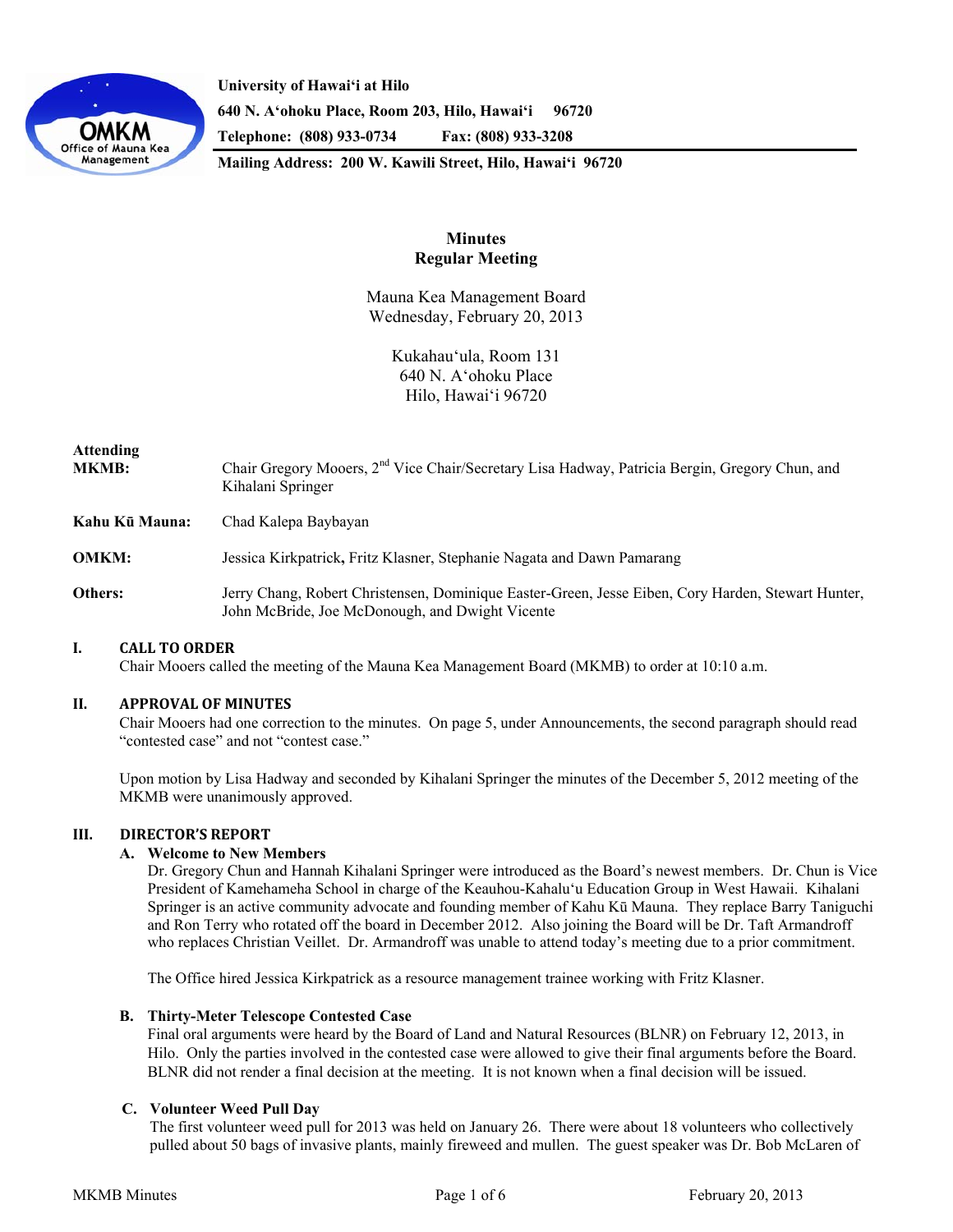

**University of Hawaiʻi at Hilo 640 N. A'ohoku Place, Room 203, Hilo, Hawai'i 96720 Telephone: (808) 933-0734 Fax: (808) 933-3208** 

**Mailing Address: 200 W. Kawili Street, Hilo, Hawai'i 96720** 

# **Minutes Regular Meeting**

Mauna Kea Management Board Wednesday, February 20, 2013

> Kukahau'ula, Room 131 640 N. A'ohoku Place Hilo, Hawai'i 96720

# **Attending MKMB:** Chair Gregory Mooers, 2nd Vice Chair/Secretary Lisa Hadway, Patricia Bergin, Gregory Chun, and Kihalani Springer **Kahu Kū Mauna:** Chad Kalepa Baybayan **OMKM:** Jessica Kirkpatrick**,** Fritz Klasner, Stephanie Nagata and Dawn Pamarang

**Others:** Jerry Chang, Robert Christensen, Dominique Easter-Green, Jesse Eiben, Cory Harden, Stewart Hunter, John McBride, Joe McDonough, and Dwight Vicente

## **I. CALL TO ORDER**

Chair Mooers called the meeting of the Mauna Kea Management Board (MKMB) to order at 10:10 a.m.

## **II. APPROVAL OF MINUTES**

Chair Mooers had one correction to the minutes. On page 5, under Announcements, the second paragraph should read "contested case" and not "contest case."

Upon motion by Lisa Hadway and seconded by Kihalani Springer the minutes of the December 5, 2012 meeting of the MKMB were unanimously approved.

## **III. DIRECTOR'S REPORT**

## **A. Welcome to New Members**

Dr. Gregory Chun and Hannah Kihalani Springer were introduced as the Board's newest members. Dr. Chun is Vice President of Kamehameha School in charge of the Keauhou-Kahaluʻu Education Group in West Hawaii. Kihalani Springer is an active community advocate and founding member of Kahu Kū Mauna. They replace Barry Taniguchi and Ron Terry who rotated off the board in December 2012. Also joining the Board will be Dr. Taft Armandroff who replaces Christian Veillet. Dr. Armandroff was unable to attend today's meeting due to a prior commitment.

The Office hired Jessica Kirkpatrick as a resource management trainee working with Fritz Klasner.

#### **B. Thirty-Meter Telescope Contested Case**

Final oral arguments were heard by the Board of Land and Natural Resources (BLNR) on February 12, 2013, in Hilo. Only the parties involved in the contested case were allowed to give their final arguments before the Board. BLNR did not render a final decision at the meeting. It is not known when a final decision will be issued.

## **C. Volunteer Weed Pull Day**

The first volunteer weed pull for 2013 was held on January 26. There were about 18 volunteers who collectively pulled about 50 bags of invasive plants, mainly fireweed and mullen. The guest speaker was Dr. Bob McLaren of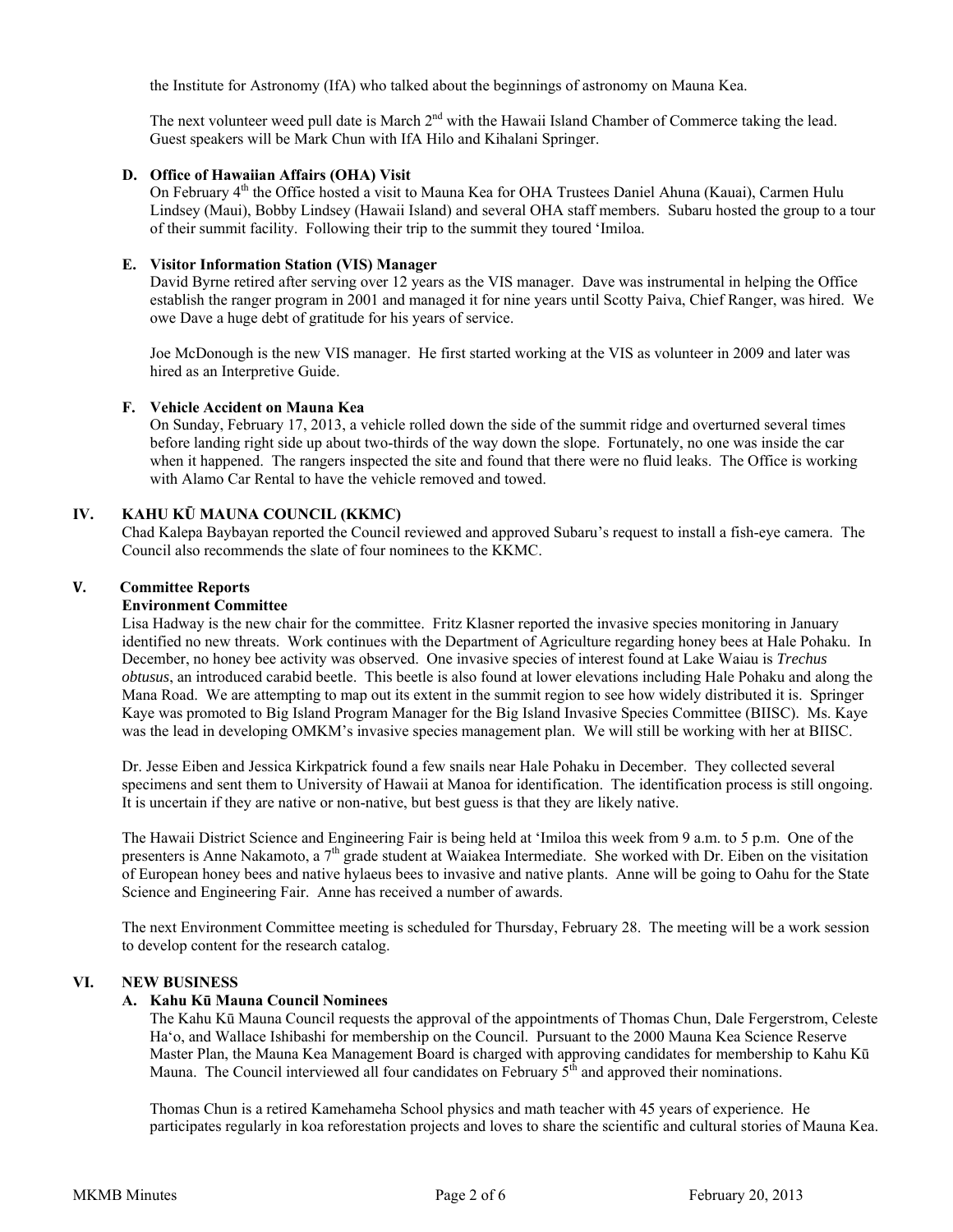the Institute for Astronomy (IfA) who talked about the beginnings of astronomy on Mauna Kea.

The next volunteer weed pull date is March 2<sup>nd</sup> with the Hawaii Island Chamber of Commerce taking the lead. Guest speakers will be Mark Chun with IfA Hilo and Kihalani Springer.

## **D. Office of Hawaiian Affairs (OHA) Visit**

On February 4<sup>th</sup> the Office hosted a visit to Mauna Kea for OHA Trustees Daniel Ahuna (Kauai), Carmen Hulu Lindsey (Maui), Bobby Lindsey (Hawaii Island) and several OHA staff members. Subaru hosted the group to a tour of their summit facility. Following their trip to the summit they toured ʻImiloa.

## **E. Visitor Information Station (VIS) Manager**

David Byrne retired after serving over 12 years as the VIS manager. Dave was instrumental in helping the Office establish the ranger program in 2001 and managed it for nine years until Scotty Paiva, Chief Ranger, was hired. We owe Dave a huge debt of gratitude for his years of service.

Joe McDonough is the new VIS manager. He first started working at the VIS as volunteer in 2009 and later was hired as an Interpretive Guide.

## **F. Vehicle Accident on Mauna Kea**

On Sunday, February 17, 2013, a vehicle rolled down the side of the summit ridge and overturned several times before landing right side up about two-thirds of the way down the slope. Fortunately, no one was inside the car when it happened. The rangers inspected the site and found that there were no fluid leaks. The Office is working with Alamo Car Rental to have the vehicle removed and towed.

## **IV. KAHU KŪ MAUNA COUNCIL (KKMC)**

Chad Kalepa Baybayan reported the Council reviewed and approved Subaru's request to install a fish-eye camera. The Council also recommends the slate of four nominees to the KKMC.

## **V. Committee Reports**

## **Environment Committee**

Lisa Hadway is the new chair for the committee. Fritz Klasner reported the invasive species monitoring in January identified no new threats. Work continues with the Department of Agriculture regarding honey bees at Hale Pohaku. In December, no honey bee activity was observed. One invasive species of interest found at Lake Waiau is *Trechus obtusus*, an introduced carabid beetle. This beetle is also found at lower elevations including Hale Pohaku and along the Mana Road. We are attempting to map out its extent in the summit region to see how widely distributed it is. Springer Kaye was promoted to Big Island Program Manager for the Big Island Invasive Species Committee (BIISC). Ms. Kaye was the lead in developing OMKM's invasive species management plan. We will still be working with her at BIISC.

Dr. Jesse Eiben and Jessica Kirkpatrick found a few snails near Hale Pohaku in December. They collected several specimens and sent them to University of Hawaii at Manoa for identification. The identification process is still ongoing. It is uncertain if they are native or non-native, but best guess is that they are likely native.

The Hawaii District Science and Engineering Fair is being held at ʻImiloa this week from 9 a.m. to 5 p.m. One of the presenters is Anne Nakamoto, a 7<sup>th</sup> grade student at Waiakea Intermediate. She worked with Dr. Eiben on the visitation of European honey bees and native hylaeus bees to invasive and native plants. Anne will be going to Oahu for the State Science and Engineering Fair. Anne has received a number of awards.

The next Environment Committee meeting is scheduled for Thursday, February 28. The meeting will be a work session to develop content for the research catalog.

## **VI. NEW BUSINESS**

## **A. Kahu Kū Mauna Council Nominees**

The Kahu Kū Mauna Council requests the approval of the appointments of Thomas Chun, Dale Fergerstrom, Celeste Ha'o, and Wallace Ishibashi for membership on the Council. Pursuant to the 2000 Mauna Kea Science Reserve Master Plan, the Mauna Kea Management Board is charged with approving candidates for membership to Kahu Kū Mauna. The Council interviewed all four candidates on February  $5<sup>th</sup>$  and approved their nominations.

Thomas Chun is a retired Kamehameha School physics and math teacher with 45 years of experience. He participates regularly in koa reforestation projects and loves to share the scientific and cultural stories of Mauna Kea.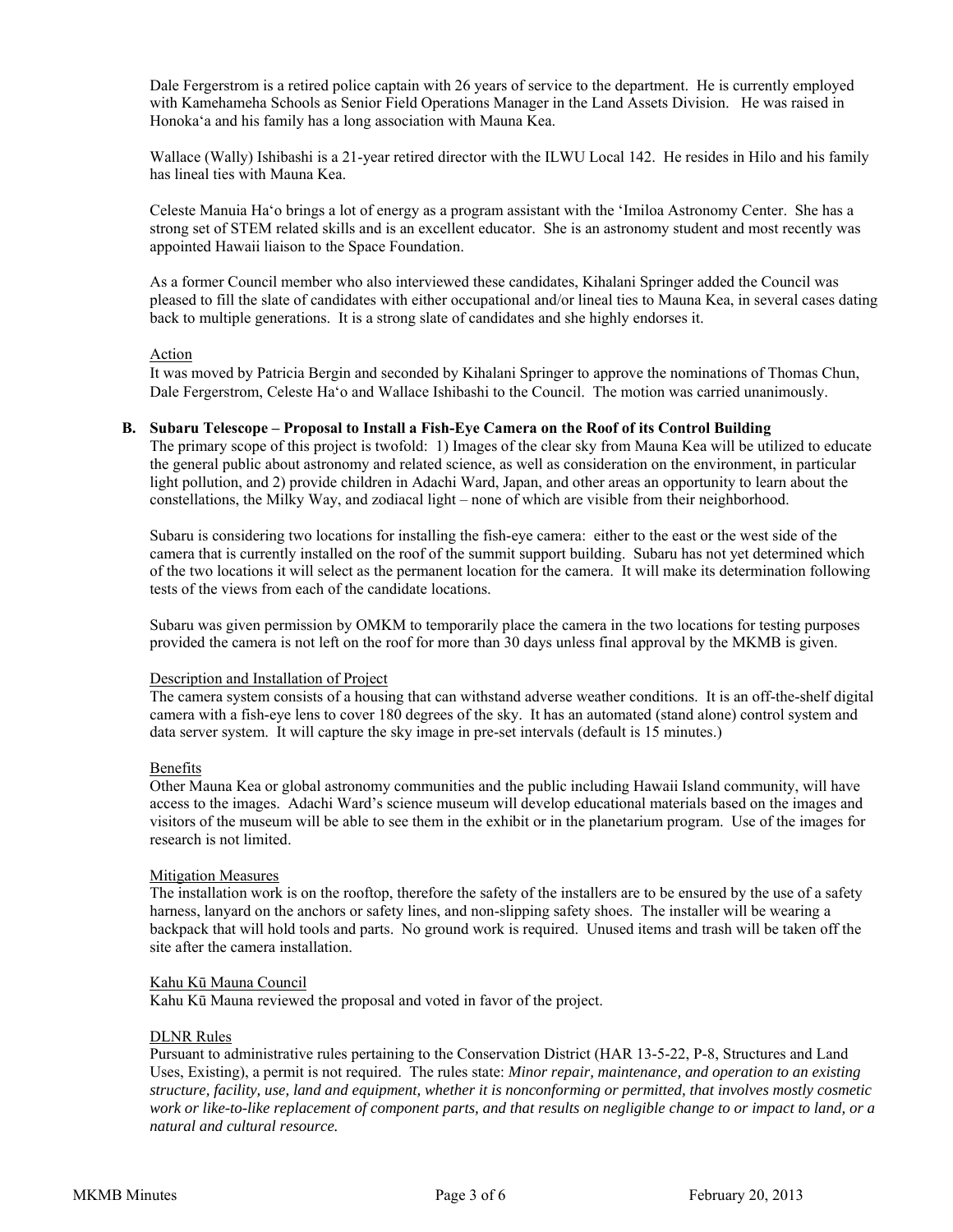Dale Fergerstrom is a retired police captain with 26 years of service to the department. He is currently employed with Kamehameha Schools as Senior Field Operations Manager in the Land Assets Division. He was raised in Honokaʻa and his family has a long association with Mauna Kea.

Wallace (Wally) Ishibashi is a 21-year retired director with the ILWU Local 142. He resides in Hilo and his family has lineal ties with Mauna Kea.

Celeste Manuia Haʻo brings a lot of energy as a program assistant with the ʻImiloa Astronomy Center. She has a strong set of STEM related skills and is an excellent educator. She is an astronomy student and most recently was appointed Hawaii liaison to the Space Foundation.

As a former Council member who also interviewed these candidates, Kihalani Springer added the Council was pleased to fill the slate of candidates with either occupational and/or lineal ties to Mauna Kea, in several cases dating back to multiple generations. It is a strong slate of candidates and she highly endorses it.

#### **Action**

It was moved by Patricia Bergin and seconded by Kihalani Springer to approve the nominations of Thomas Chun, Dale Fergerstrom, Celeste Haʻo and Wallace Ishibashi to the Council. The motion was carried unanimously.

## **B. Subaru Telescope – Proposal to Install a Fish-Eye Camera on the Roof of its Control Building**

The primary scope of this project is twofold: 1) Images of the clear sky from Mauna Kea will be utilized to educate the general public about astronomy and related science, as well as consideration on the environment, in particular light pollution, and 2) provide children in Adachi Ward, Japan, and other areas an opportunity to learn about the constellations, the Milky Way, and zodiacal light – none of which are visible from their neighborhood.

Subaru is considering two locations for installing the fish-eye camera: either to the east or the west side of the camera that is currently installed on the roof of the summit support building. Subaru has not yet determined which of the two locations it will select as the permanent location for the camera. It will make its determination following tests of the views from each of the candidate locations.

Subaru was given permission by OMKM to temporarily place the camera in the two locations for testing purposes provided the camera is not left on the roof for more than 30 days unless final approval by the MKMB is given.

#### Description and Installation of Project

The camera system consists of a housing that can withstand adverse weather conditions. It is an off-the-shelf digital camera with a fish-eye lens to cover 180 degrees of the sky. It has an automated (stand alone) control system and data server system. It will capture the sky image in pre-set intervals (default is 15 minutes.)

#### Benefits

Other Mauna Kea or global astronomy communities and the public including Hawaii Island community, will have access to the images. Adachi Ward's science museum will develop educational materials based on the images and visitors of the museum will be able to see them in the exhibit or in the planetarium program. Use of the images for research is not limited.

## Mitigation Measures

The installation work is on the rooftop, therefore the safety of the installers are to be ensured by the use of a safety harness, lanyard on the anchors or safety lines, and non-slipping safety shoes. The installer will be wearing a backpack that will hold tools and parts. No ground work is required. Unused items and trash will be taken off the site after the camera installation.

#### Kahu Kū Mauna Council

Kahu Kū Mauna reviewed the proposal and voted in favor of the project.

#### DLNR Rules

Pursuant to administrative rules pertaining to the Conservation District (HAR 13-5-22, P-8, Structures and Land Uses, Existing), a permit is not required. The rules state: *Minor repair, maintenance, and operation to an existing structure, facility, use, land and equipment, whether it is nonconforming or permitted, that involves mostly cosmetic work or like-to-like replacement of component parts, and that results on negligible change to or impact to land, or a natural and cultural resource.*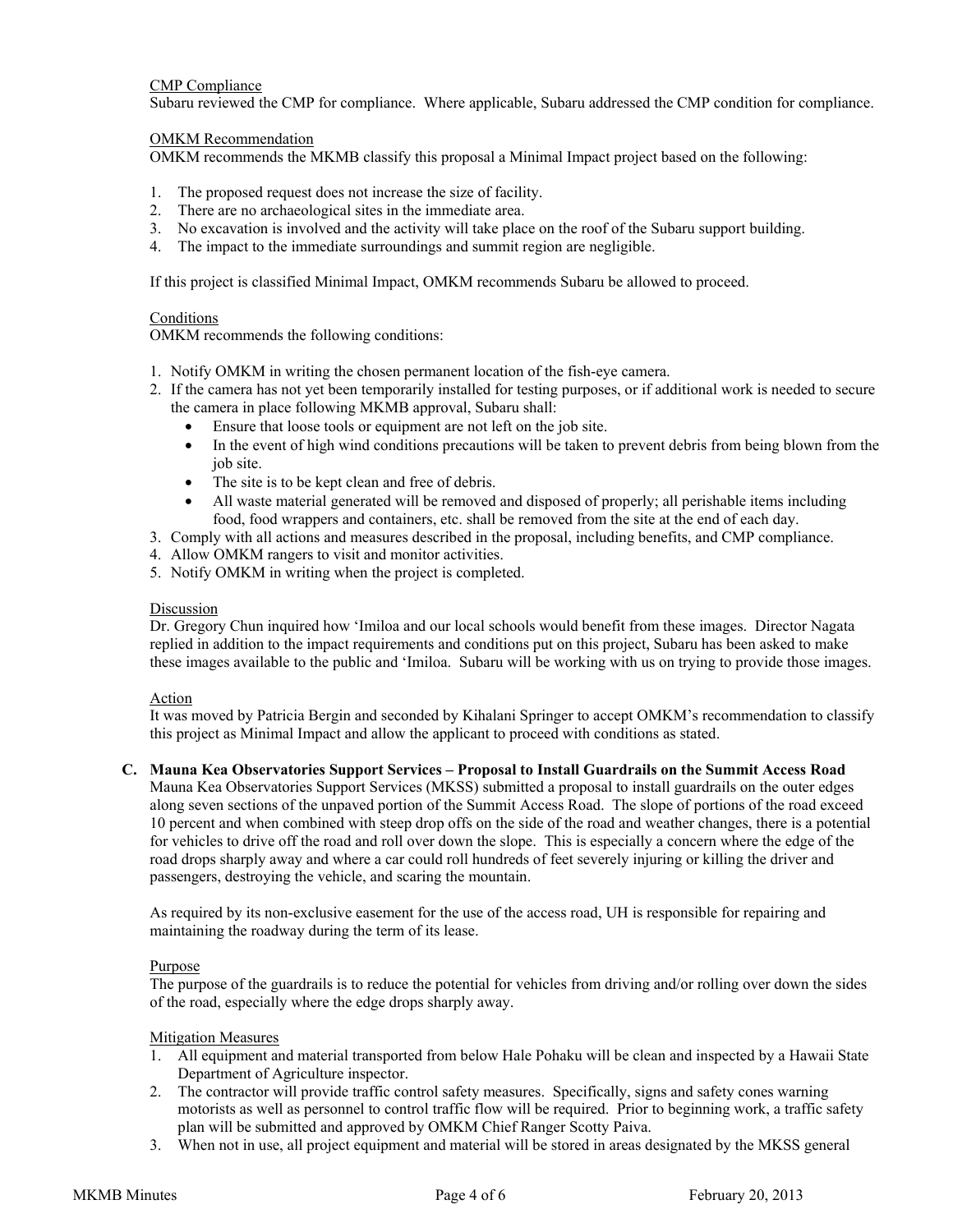## CMP Compliance

Subaru reviewed the CMP for compliance. Where applicable, Subaru addressed the CMP condition for compliance.

## OMKM Recommendation

OMKM recommends the MKMB classify this proposal a Minimal Impact project based on the following:

- 1. The proposed request does not increase the size of facility.
- 2. There are no archaeological sites in the immediate area.
- 3. No excavation is involved and the activity will take place on the roof of the Subaru support building.
- 4. The impact to the immediate surroundings and summit region are negligible.

If this project is classified Minimal Impact, OMKM recommends Subaru be allowed to proceed.

## Conditions

OMKM recommends the following conditions:

- 1. Notify OMKM in writing the chosen permanent location of the fish-eye camera.
- 2. If the camera has not yet been temporarily installed for testing purposes, or if additional work is needed to secure the camera in place following MKMB approval, Subaru shall:
	- Ensure that loose tools or equipment are not left on the job site.
	- In the event of high wind conditions precautions will be taken to prevent debris from being blown from the job site.
	- The site is to be kept clean and free of debris.
	- All waste material generated will be removed and disposed of properly; all perishable items including food, food wrappers and containers, etc. shall be removed from the site at the end of each day.
- 3. Comply with all actions and measures described in the proposal, including benefits, and CMP compliance.
- 4. Allow OMKM rangers to visit and monitor activities.
- 5. Notify OMKM in writing when the project is completed.

#### Discussion

Dr. Gregory Chun inquired how ʻImiloa and our local schools would benefit from these images. Director Nagata replied in addition to the impact requirements and conditions put on this project, Subaru has been asked to make these images available to the public and ʻImiloa. Subaru will be working with us on trying to provide those images.

## Action

It was moved by Patricia Bergin and seconded by Kihalani Springer to accept OMKM's recommendation to classify this project as Minimal Impact and allow the applicant to proceed with conditions as stated.

#### **C. Mauna Kea Observatories Support Services – Proposal to Install Guardrails on the Summit Access Road**

Mauna Kea Observatories Support Services (MKSS) submitted a proposal to install guardrails on the outer edges along seven sections of the unpaved portion of the Summit Access Road. The slope of portions of the road exceed 10 percent and when combined with steep drop offs on the side of the road and weather changes, there is a potential for vehicles to drive off the road and roll over down the slope. This is especially a concern where the edge of the road drops sharply away and where a car could roll hundreds of feet severely injuring or killing the driver and passengers, destroying the vehicle, and scaring the mountain.

As required by its non-exclusive easement for the use of the access road, UH is responsible for repairing and maintaining the roadway during the term of its lease.

#### Purpose

The purpose of the guardrails is to reduce the potential for vehicles from driving and/or rolling over down the sides of the road, especially where the edge drops sharply away.

#### Mitigation Measures

- 1. All equipment and material transported from below Hale Pohaku will be clean and inspected by a Hawaii State Department of Agriculture inspector.
- 2. The contractor will provide traffic control safety measures. Specifically, signs and safety cones warning motorists as well as personnel to control traffic flow will be required. Prior to beginning work, a traffic safety plan will be submitted and approved by OMKM Chief Ranger Scotty Paiva.
- 3. When not in use, all project equipment and material will be stored in areas designated by the MKSS general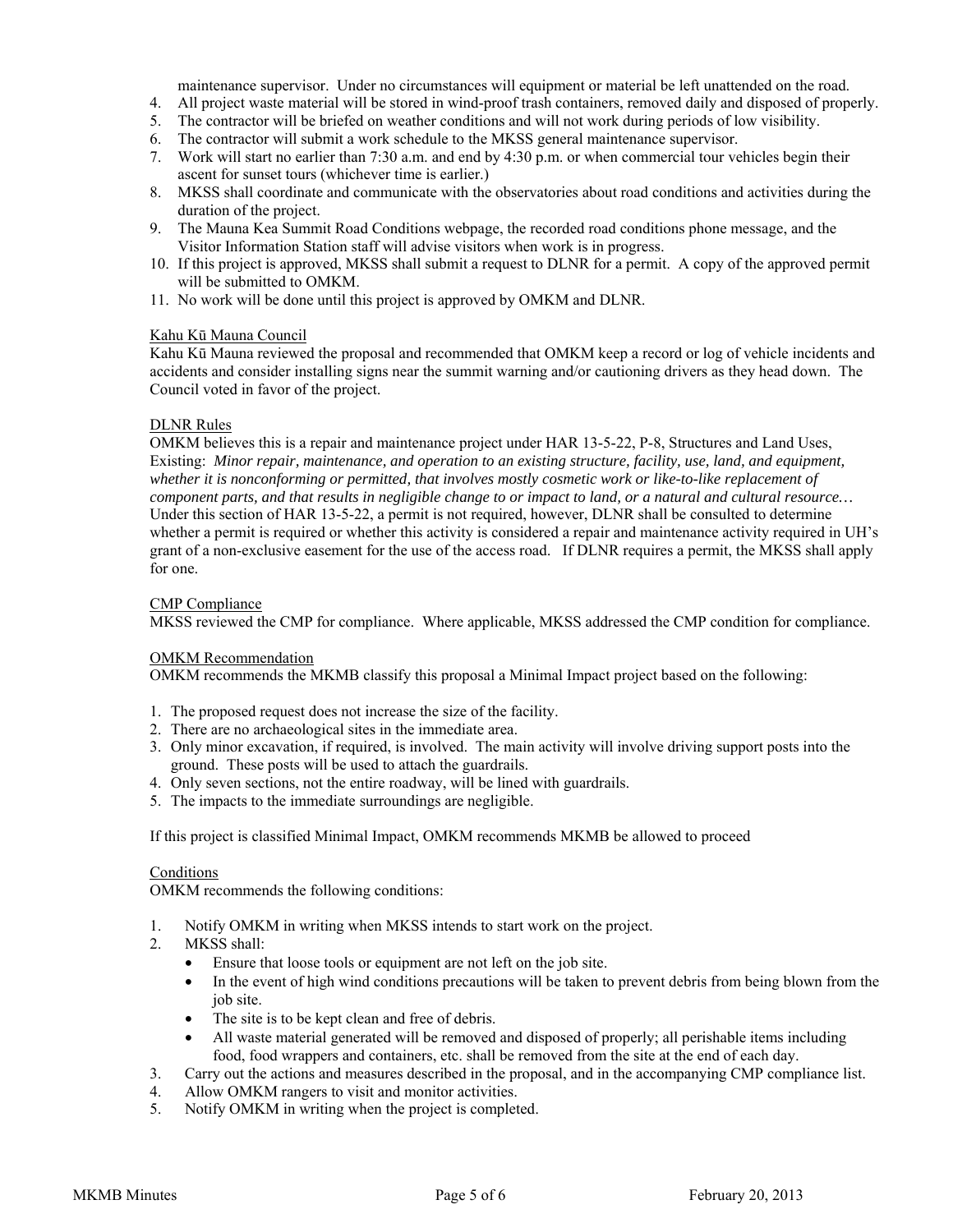maintenance supervisor. Under no circumstances will equipment or material be left unattended on the road.

- 4. All project waste material will be stored in wind-proof trash containers, removed daily and disposed of properly.
- 5. The contractor will be briefed on weather conditions and will not work during periods of low visibility.
- 6. The contractor will submit a work schedule to the MKSS general maintenance supervisor.
- 7. Work will start no earlier than 7:30 a.m. and end by 4:30 p.m. or when commercial tour vehicles begin their ascent for sunset tours (whichever time is earlier.)
- 8. MKSS shall coordinate and communicate with the observatories about road conditions and activities during the duration of the project.
- 9. The Mauna Kea Summit Road Conditions webpage, the recorded road conditions phone message, and the Visitor Information Station staff will advise visitors when work is in progress.
- 10. If this project is approved, MKSS shall submit a request to DLNR for a permit. A copy of the approved permit will be submitted to OMKM.
- 11. No work will be done until this project is approved by OMKM and DLNR.

## Kahu Kū Mauna Council

Kahu Kū Mauna reviewed the proposal and recommended that OMKM keep a record or log of vehicle incidents and accidents and consider installing signs near the summit warning and/or cautioning drivers as they head down. The Council voted in favor of the project.

## DLNR Rules

OMKM believes this is a repair and maintenance project under HAR 13-5-22, P-8, Structures and Land Uses, Existing: *Minor repair, maintenance, and operation to an existing structure, facility, use, land, and equipment, whether it is nonconforming or permitted, that involves mostly cosmetic work or like-to-like replacement of component parts, and that results in negligible change to or impact to land, or a natural and cultural resource…*  Under this section of HAR 13-5-22, a permit is not required, however, DLNR shall be consulted to determine whether a permit is required or whether this activity is considered a repair and maintenance activity required in UH's grant of a non-exclusive easement for the use of the access road. If DLNR requires a permit, the MKSS shall apply for one.

## CMP Compliance

MKSS reviewed the CMP for compliance. Where applicable, MKSS addressed the CMP condition for compliance.

#### OMKM Recommendation

OMKM recommends the MKMB classify this proposal a Minimal Impact project based on the following:

- 1. The proposed request does not increase the size of the facility.
- 2. There are no archaeological sites in the immediate area.
- 3. Only minor excavation, if required, is involved. The main activity will involve driving support posts into the ground. These posts will be used to attach the guardrails.
- 4. Only seven sections, not the entire roadway, will be lined with guardrails.
- 5. The impacts to the immediate surroundings are negligible.

If this project is classified Minimal Impact, OMKM recommends MKMB be allowed to proceed

## **Conditions**

OMKM recommends the following conditions:

- 1. Notify OMKM in writing when MKSS intends to start work on the project.
- 2. MKSS shall:
	- Ensure that loose tools or equipment are not left on the job site.
	- In the event of high wind conditions precautions will be taken to prevent debris from being blown from the job site.
	- The site is to be kept clean and free of debris.
	- All waste material generated will be removed and disposed of properly; all perishable items including food, food wrappers and containers, etc. shall be removed from the site at the end of each day.
- 3. Carry out the actions and measures described in the proposal, and in the accompanying CMP compliance list.
- 4. Allow OMKM rangers to visit and monitor activities.
- 5. Notify OMKM in writing when the project is completed.